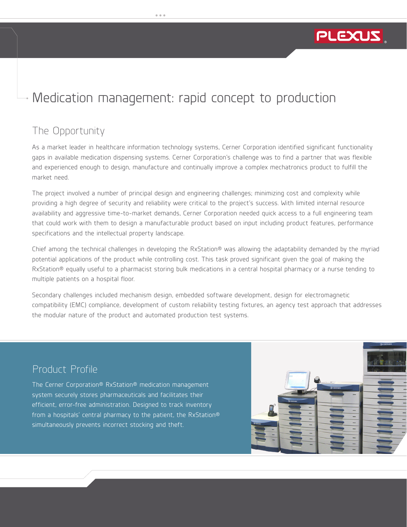

*The Product Realization Company*

# Medication management: rapid concept to production

## The Opportunity

As a market leader in healthcare information technology systems, Cerner Corporation identified significant functionality gaps in available medication dispensing systems. Cerner Corporation's challenge was to find a partner that was flexible and experienced enough to design, manufacture and continually improve a complex mechatronics product to fulfill the market need.

The project involved a number of principal design and engineering challenges; minimizing cost and complexity while providing a high degree of security and reliability were critical to the project's success. With limited internal resource availability and aggressive time-to-market demands, Cerner Corporation needed quick access to a full engineering team that could work with them to design a manufacturable product based on input including product features, performance specifications and the intellectual property landscape.

Chief among the technical challenges in developing the RxStation® was allowing the adaptability demanded by the myriad potential applications of the product while controlling cost. This task proved significant given the goal of making the RxStation® equally useful to a pharmacist storing bulk medications in a central hospital pharmacy or a nurse tending to multiple patients on a hospital floor.

Secondary challenges included mechanism design, embedded software development, design for electromagnetic compatibility (EMC) compliance, development of custom reliability testing fixtures, an agency test approach that addresses the modular nature of the product and automated production test systems.

#### Product Profile

The Cerner Corporation® RxStation® medication management system securely stores pharmaceuticals and facilitates their efficient, error-free administration. Designed to track inventory from a hospitals' central pharmacy to the patient, the RxStation® simultaneously prevents incorrect stocking and theft.